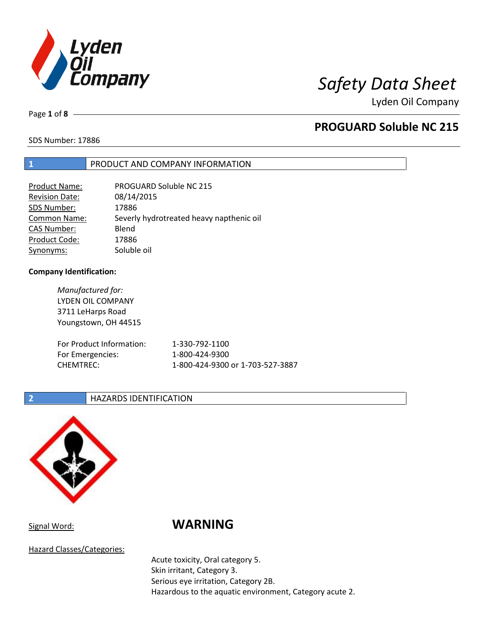

Lyden Oil Company

Page **1** of **8**

# **PROGUARD Soluble NC 215**

SDS Number: 17886

## **1** PRODUCT AND COMPANY INFORMATION

| PROGUARD Soluble NC 215                  |
|------------------------------------------|
| 08/14/2015                               |
| 17886                                    |
| Severly hydrotreated heavy napthenic oil |
| Blend                                    |
| 17886                                    |
| Soluble oil                              |
|                                          |

## **Company Identification:**

| Manufactured for:<br>LYDEN OIL COMPANY<br>3711 LeHarps Road<br>Youngstown, OH 44515 |                                  |
|-------------------------------------------------------------------------------------|----------------------------------|
| For Product Information:                                                            | 1-330-792-1100                   |
| For Emergencies:                                                                    | 1-800-424-9300                   |
| <b>CHEMTREC:</b>                                                                    | 1-800-424-9300 or 1-703-527-3887 |

## **2 HAZARDS IDENTIFICATION**



Hazard Classes/Categories:

# Signal Word: **WARNING**

Acute toxicity, Oral category 5. Skin irritant, Category 3. Serious eye irritation, Category 2B. Hazardous to the aquatic environment, Category acute 2.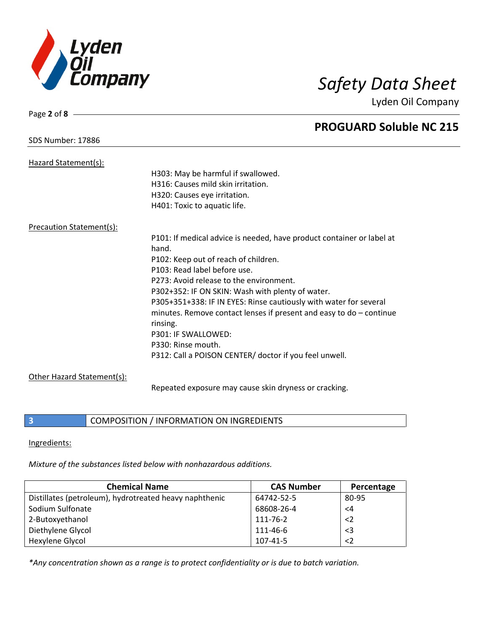

Page **2** of **8**

Lyden Oil Company

|                                 | <b>PROGUARD Soluble NC 215</b>                                                 |
|---------------------------------|--------------------------------------------------------------------------------|
| <b>SDS Number: 17886</b>        |                                                                                |
| Hazard Statement(s):            |                                                                                |
|                                 | H303: May be harmful if swallowed.                                             |
|                                 | H316: Causes mild skin irritation.                                             |
|                                 | H320: Causes eye irritation.                                                   |
|                                 | H401: Toxic to aquatic life.                                                   |
| <b>Precaution Statement(s):</b> |                                                                                |
|                                 | P101: If medical advice is needed, have product container or label at<br>hand. |
|                                 | P102: Keep out of reach of children.                                           |
|                                 | P103: Read label before use.                                                   |
|                                 | P273: Avoid release to the environment.                                        |
|                                 | P302+352: IF ON SKIN: Wash with plenty of water.                               |
|                                 | P305+351+338: IF IN EYES: Rinse cautiously with water for several              |
|                                 | minutes. Remove contact lenses if present and easy to $do$ – continue          |
|                                 | rinsing.                                                                       |
|                                 | P301: IF SWALLOWED:                                                            |
|                                 | P330: Rinse mouth.                                                             |
|                                 | P312: Call a POISON CENTER/ doctor if you feel unwell.                         |
| Other Hazard Statement(s):      |                                                                                |
|                                 | Repeated exposure may cause skin dryness or cracking.                          |

**3 COMPOSITION** / INFORMATION ON INGREDIENTS

Ingredients:

*Mixture of the substances listed below with nonhazardous additions.*

| <b>Chemical Name</b>                                   | <b>CAS Number</b> | Percentage  |
|--------------------------------------------------------|-------------------|-------------|
| Distillates (petroleum), hydrotreated heavy naphthenic | 64742-52-5        | 80-95       |
| Sodium Sulfonate                                       | 68608-26-4        | $\leq 4$    |
| 2-Butoxyethanol                                        | 111-76-2          | $\langle$ 2 |
| Diethylene Glycol                                      | 111-46-6          | $\leq$ 3    |
| Hexylene Glycol                                        | 107-41-5          | $\langle$ 2 |

*\*Any concentration shown as a range is to protect confidentiality or is due to batch variation.*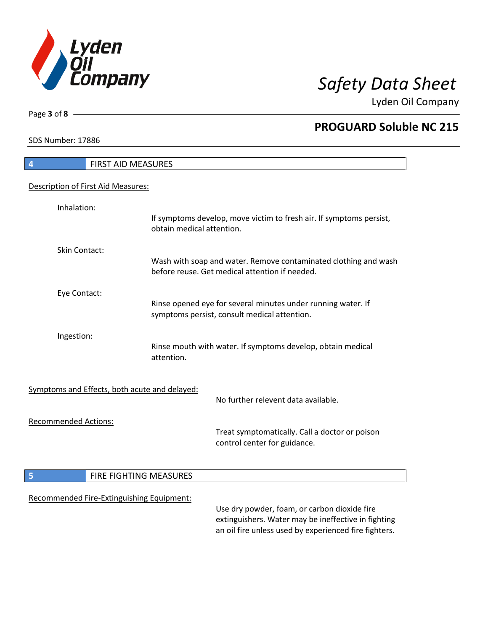

Lyden Oil Company

SDS Number: 17886

Page **3** of **8**

# **4** FIRST AID MEASURES Description of First Aid Measures: Inhalation: If symptoms develop, move victim to fresh air. If symptoms persist, obtain medical attention. Skin Contact: Wash with soap and water. Remove contaminated clothing and wash before reuse. Get medical attention if needed. Eye Contact: Rinse opened eye for several minutes under running water. If symptoms persist, consult medical attention. Ingestion: Rinse mouth with water. If symptoms develop, obtain medical attention. Symptoms and Effects, both acute and delayed: No further relevent data available. Recommended Actions: Treat symptomatically. Call a doctor or poison control center for guidance. **5 FIRE FIGHTING MEASURES** Recommended Fire-Extinguishing Equipment: Use dry powder, foam, or carbon dioxide fire extinguishers. Water may be ineffective in fighting an oil fire unless used by experienced fire fighters.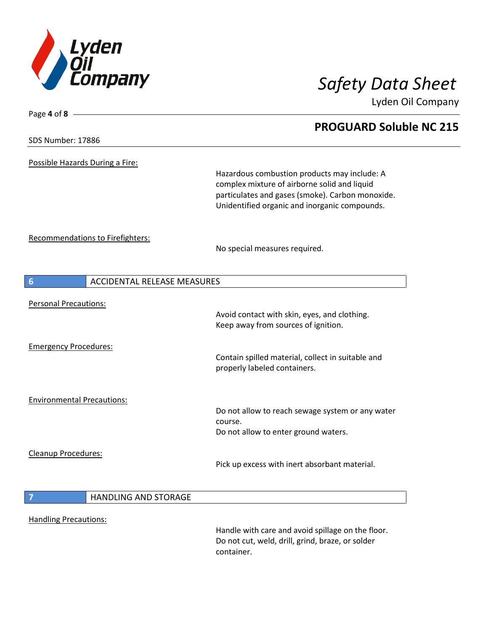

Lyden Oil Company

| <b>SDS Number: 17886</b> |  |
|--------------------------|--|
|--------------------------|--|

Page **4** of **8**

Possible Hazards During a Fire:

Hazardous combustion products may include: A complex mixture of airborne solid and liquid particulates and gases (smoke). Carbon monoxide. Unidentified organic and inorganic compounds.

Recommendations to Firefighters:

No special measures required.

| $6\overline{6}$                    | <b>ACCIDENTAL RELEASE MEASURES</b> |                                                                                                                     |  |
|------------------------------------|------------------------------------|---------------------------------------------------------------------------------------------------------------------|--|
| <b>Personal Precautions:</b>       |                                    | Avoid contact with skin, eyes, and clothing.<br>Keep away from sources of ignition.                                 |  |
| <b>Emergency Procedures:</b>       |                                    | Contain spilled material, collect in suitable and<br>properly labeled containers.                                   |  |
| <b>Environmental Precautions:</b>  |                                    | Do not allow to reach sewage system or any water<br>course.<br>Do not allow to enter ground waters.                 |  |
| <b>Cleanup Procedures:</b>         |                                    | Pick up excess with inert absorbant material.                                                                       |  |
| $\begin{array}{c} \n7 \end{array}$ | <b>HANDLING AND STORAGE</b>        |                                                                                                                     |  |
| <b>Handling Precautions:</b>       |                                    | Handle with care and avoid spillage on the floor.<br>Do not cut, weld, drill, grind, braze, or solder<br>container. |  |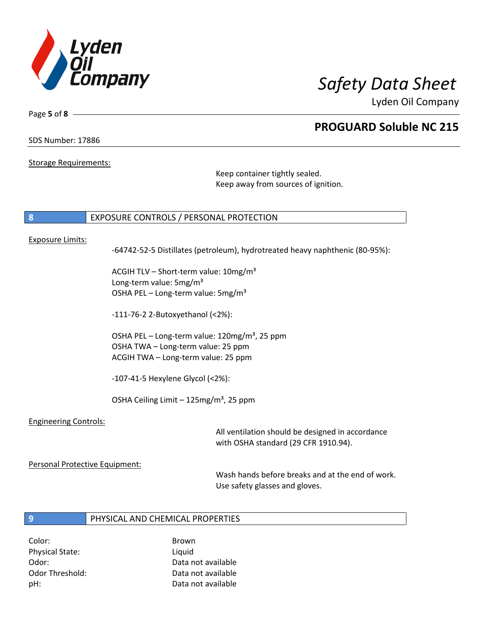

Lyden Oil Company

SDS Number: 17886

Page **5** of **8**

### Storage Requirements:

Keep container tightly sealed. Keep away from sources of ignition.

### **8** EXPOSURE CONTROLS / PERSONAL PROTECTION

### Exposure Limits:

-64742-52-5 Distillates (petroleum), hydrotreated heavy naphthenic (80-95%):

ACGIH TLV - Short-term value: 10mg/m<sup>3</sup> Long-term value: 5mg/m<sup>3</sup> OSHA PEL - Long-term value: 5mg/m<sup>3</sup>

-111-76-2 2-Butoxyethanol (<2%):

OSHA PEL – Long-term value:  $120$ mg/m<sup>3</sup>, 25 ppm OSHA TWA – Long-term value: 25 ppm ACGIH TWA – Long-term value: 25 ppm

-107-41-5 Hexylene Glycol (<2%):

OSHA Ceiling Limit  $-125$ mg/m<sup>3</sup>, 25 ppm

### Engineering Controls:

All ventilation should be designed in accordance with OSHA standard (29 CFR 1910.94).

### Personal Protective Equipment:

Wash hands before breaks and at the end of work. Use safety glasses and gloves.

# **9** PHYSICAL AND CHEMICAL PROPERTIES

Color: Brown Physical State: Liquid

Odor: Data not available Odor Threshold: Data not available pH: Data not available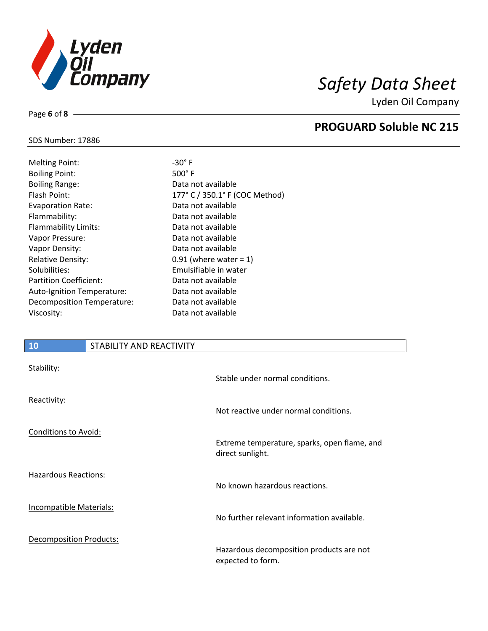

Lyden Oil Company

# SDS Number: 17886

Page **6** of **8**

| <b>Melting Point:</b>         |
|-------------------------------|
| <b>Boiling Point:</b>         |
| <b>Boiling Range:</b>         |
| Flash Point:                  |
| <b>Evaporation Rate:</b>      |
| Flammability:                 |
| <b>Flammability Limits:</b>   |
| Vapor Pressure:               |
| Vapor Density:                |
| <b>Relative Density:</b>      |
| Solubilities:                 |
| <b>Partition Coefficient:</b> |
| Auto-Ignition Temperature:    |
| Decomposition Temperature:    |
| Viscosity:                    |

 $-30^\circ$  F  $500°$  F Data not available 177° C / 350.1° F (COC Method) Data not available Data not available Data not available Data not available Data not available  $0.91$  (where water = 1) Emulsifiable in water Data not available Data not available Data not available Data not available

# **10** STABILITY AND REACTIVITY

| Stability:                     | Stable under normal conditions.                                  |
|--------------------------------|------------------------------------------------------------------|
| Reactivity:                    | Not reactive under normal conditions.                            |
| Conditions to Avoid:           | Extreme temperature, sparks, open flame, and<br>direct sunlight. |
| Hazardous Reactions:           | No known hazardous reactions.                                    |
| <b>Incompatible Materials:</b> | No further relevant information available.                       |
| <b>Decomposition Products:</b> | Hazardous decomposition products are not<br>expected to form.    |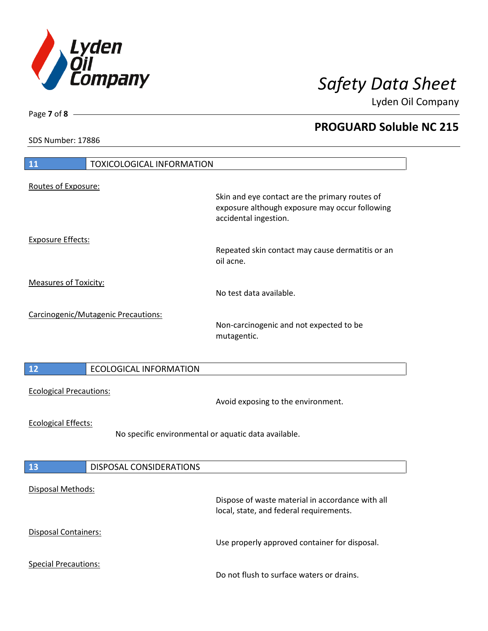

Lyden Oil Company

SDS Number: 17886

Page **7** of **8**

| <b>11</b><br><b>TOXICOLOGICAL INFORMATION</b>                                      |                                                                                                                           |
|------------------------------------------------------------------------------------|---------------------------------------------------------------------------------------------------------------------------|
|                                                                                    |                                                                                                                           |
| Routes of Exposure:                                                                | Skin and eye contact are the primary routes of<br>exposure although exposure may occur following<br>accidental ingestion. |
| <b>Exposure Effects:</b>                                                           | Repeated skin contact may cause dermatitis or an<br>oil acne.                                                             |
| <b>Measures of Toxicity:</b>                                                       | No test data available.                                                                                                   |
| Carcinogenic/Mutagenic Precautions:                                                | Non-carcinogenic and not expected to be<br>mutagentic.                                                                    |
| 12<br><b>ECOLOGICAL INFORMATION</b>                                                |                                                                                                                           |
| <b>Ecological Precautions:</b>                                                     | Avoid exposing to the environment.                                                                                        |
| <b>Ecological Effects:</b><br>No specific environmental or aquatic data available. |                                                                                                                           |
| <b>DISPOSAL CONSIDERATIONS</b><br>13                                               |                                                                                                                           |
| Disposal Methods:                                                                  | Dispose of waste material in accordance with all<br>local, state, and federal requirements.                               |
| Disposal Containers:                                                               | Use properly approved container for disposal.                                                                             |
| <b>Special Precautions:</b>                                                        | Do not flush to surface waters or drains.                                                                                 |